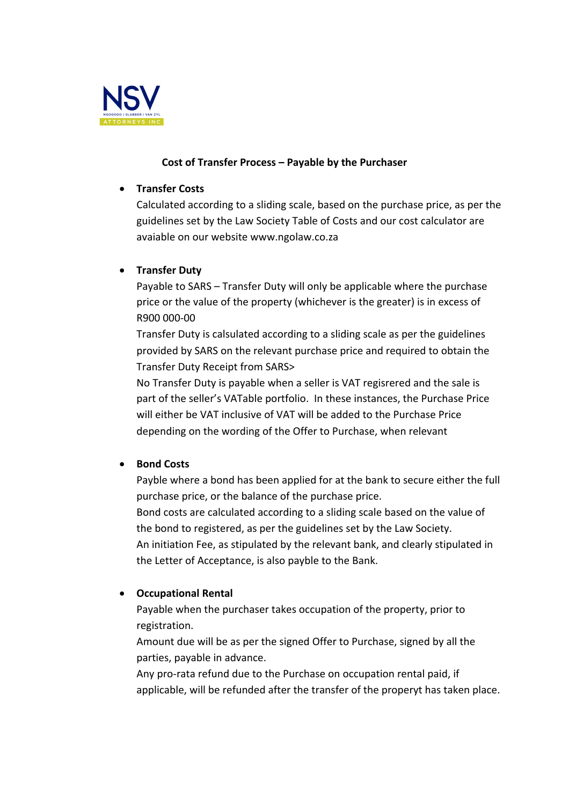

## **Cost of Transfer Process – Payable by the Purchaser**

### • **Transfer Costs**

Calculated according to a sliding scale, based on the purchase price, as per the guidelines set by the Law Society Table of Costs and our cost calculator are avaiable on our website www.ngolaw.co.za

# • **Transfer Duty**

Payable to SARS – Transfer Duty will only be applicable where the purchase price or the value of the property (whichever is the greater) is in excess of R900 000-00

Transfer Duty is calsulated according to a sliding scale as per the guidelines provided by SARS on the relevant purchase price and required to obtain the Transfer Duty Receipt from SARS>

No Transfer Duty is payable when a seller is VAT regisrered and the sale is part of the seller's VATable portfolio. In these instances, the Purchase Price will either be VAT inclusive of VAT will be added to the Purchase Price depending on the wording of the Offer to Purchase, when relevant

## • **Bond Costs**

Payble where a bond has been applied for at the bank to secure either the full purchase price, or the balance of the purchase price. Bond costs are calculated according to a sliding scale based on the value of the bond to registered, as per the guidelines set by the Law Society. An initiation Fee, as stipulated by the relevant bank, and clearly stipulated in the Letter of Acceptance, is also payble to the Bank.

## • **Occupational Rental**

Payable when the purchaser takes occupation of the property, prior to registration.

Amount due will be as per the signed Offer to Purchase, signed by all the parties, payable in advance.

Any pro-rata refund due to the Purchase on occupation rental paid, if applicable, will be refunded after the transfer of the properyt has taken place.